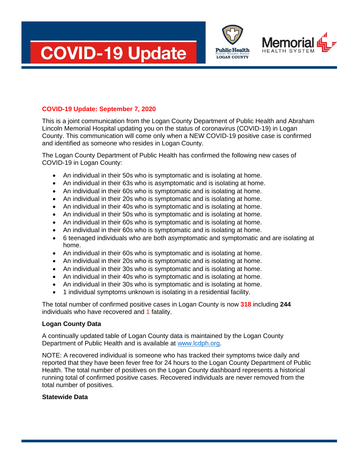





## **COVID-19 Update: September 7, 2020**

This is a joint communication from the Logan County Department of Public Health and Abraham Lincoln Memorial Hospital updating you on the status of coronavirus (COVID-19) in Logan County. This communication will come only when a NEW COVID-19 positive case is confirmed and identified as someone who resides in Logan County.

The Logan County Department of Public Health has confirmed the following new cases of COVID-19 in Logan County:

- An individual in their 50s who is symptomatic and is isolating at home.
- An individual in their 63s who is asymptomatic and is isolating at home.
- An individual in their 60s who is symptomatic and is isolating at home.
- An individual in their 20s who is symptomatic and is isolating at home.
- An individual in their 40s who is symptomatic and is isolating at home.
- An individual in their 50s who is symptomatic and is isolating at home.
- An individual in their 60s who is symptomatic and is isolating at home.
- An individual in their 60s who is symptomatic and is isolating at home.
- 6 teenaged individuals who are both asymptomatic and symptomatic and are isolating at home.
- An individual in their 60s who is symptomatic and is isolating at home.
- An individual in their 20s who is symptomatic and is isolating at home.
- An individual in their 30s who is symptomatic and is isolating at home.
- An individual in their 40s who is symptomatic and is isolating at home.
- An individual in their 30s who is symptomatic and is isolating at home.
- 1 individual symptoms unknown is isolating in a residential facility.

The total number of confirmed positive cases in Logan County is now **318** including **244**  individuals who have recovered and 1 fatality.

## **Logan County Data**

A continually updated table of Logan County data is maintained by the Logan County Department of Public Health and is available at [www.lcdph.org.](http://www.lcdph.org/)

NOTE: A recovered individual is someone who has tracked their symptoms twice daily and reported that they have been fever free for 24 hours to the Logan County Department of Public Health. The total number of positives on the Logan County dashboard represents a historical running total of confirmed positive cases. Recovered individuals are never removed from the total number of positives.

## **Statewide Data**